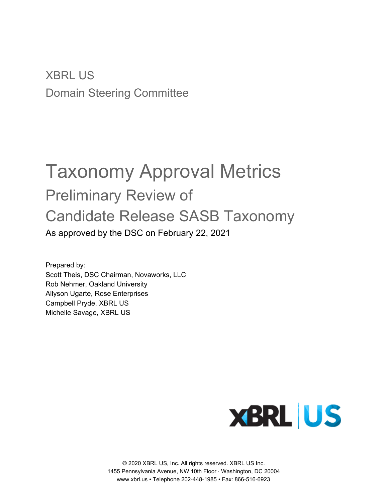XBRL US Domain Steering Committee

# Taxonomy Approval Metrics Preliminary Review of Candidate Release SASB Taxonomy As approved by the DSC on February 22, 2021

Prepared by: Scott Theis, DSC Chairman, Novaworks, LLC Rob Nehmer, Oakland University Allyson Ugarte, Rose Enterprises Campbell Pryde, XBRL US Michelle Savage, XBRL US



© 2020 XBRL US, Inc. All rights reserved. XBRL US Inc. 1455 Pennsylvania Avenue, NW 10th Floor · Washington, DC 20004 www.xbrl.us • Telephone 202-448-1985 • Fax: 866-516-6923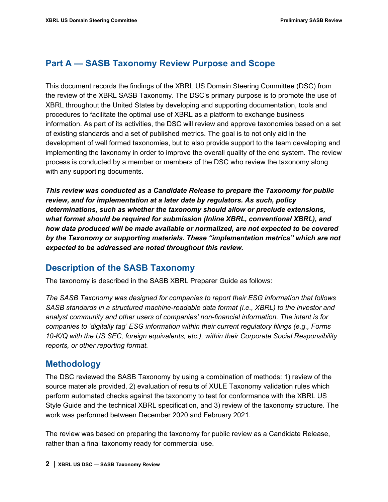## **Part A — SASB Taxonomy Review Purpose and Scope**

This document records the findings of the XBRL US Domain Steering Committee (DSC) from the review of the XBRL SASB Taxonomy. The DSC's primary purpose is to promote the use of XBRL throughout the United States by developing and supporting documentation, tools and procedures to facilitate the optimal use of XBRL as a platform to exchange business information. As part of its activities, the DSC will review and approve taxonomies based on a set of existing standards and a set of published metrics. The goal is to not only aid in the development of well formed taxonomies, but to also provide support to the team developing and implementing the taxonomy in order to improve the overall quality of the end system. The review process is conducted by a member or members of the DSC who review the taxonomy along with any supporting documents.

*This review was conducted as a Candidate Release to prepare the Taxonomy for public review, and for implementation at a later date by regulators. As such, policy determinations, such as whether the taxonomy should allow or preclude extensions, what format should be required for submission (Inline XBRL, conventional XBRL), and how data produced will be made available or normalized, are not expected to be covered by the Taxonomy or supporting materials. These "implementation metrics" which are not expected to be addressed are noted throughout this review.*

## **Description of the SASB Taxonomy**

The taxonomy is described in the SASB XBRL Preparer Guide as follows:

*The SASB Taxonomy was designed for companies to report their ESG information that follows SASB standards in a structured machine-readable data format (i.e., XBRL) to the investor and analyst community and other users of companies' non-financial information. The intent is for companies to 'digitally tag' ESG information within their current regulatory filings (e.g., Forms 10-K/Q with the US SEC, foreign equivalents, etc.), within their Corporate Social Responsibility reports, or other reporting format.*

## **Methodology**

The DSC reviewed the SASB Taxonomy by using a combination of methods: 1) review of the source materials provided, 2) evaluation of results of XULE Taxonomy validation rules which perform automated checks against the taxonomy to test for conformance with the XBRL US Style Guide and the technical XBRL specification, and 3) review of the taxonomy structure. The work was performed between December 2020 and February 2021.

The review was based on preparing the taxonomy for public review as a Candidate Release, rather than a final taxonomy ready for commercial use.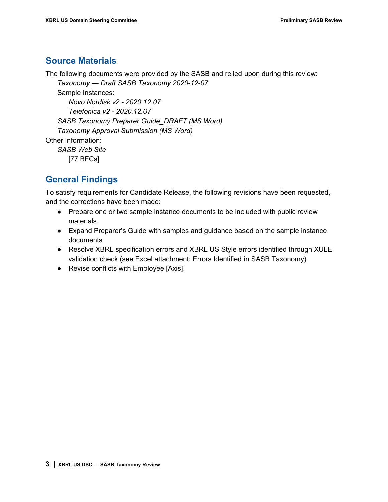## **Source Materials**

The following documents were provided by the SASB and relied upon during this review:

*Taxonomy — Draft SASB Taxonomy 2020-12-07*

Sample Instances:

*Novo Nordisk v2 - 2020.12.07 Telefonica v2 - 2020.12.07 SASB Taxonomy Preparer Guide\_DRAFT (MS Word) Taxonomy Approval Submission (MS Word)* Other Information: *SASB Web Site*

[77 BFCs]

## **General Findings**

To satisfy requirements for Candidate Release, the following revisions have been requested, and the corrections have been made:

- Prepare one or two sample instance documents to be included with public review materials.
- Expand Preparer's Guide with samples and guidance based on the sample instance documents
- Resolve XBRL specification errors and XBRL US Style errors identified through XULE validation check (see Excel attachment: Errors Identified in SASB Taxonomy).
- Revise conflicts with Employee [Axis].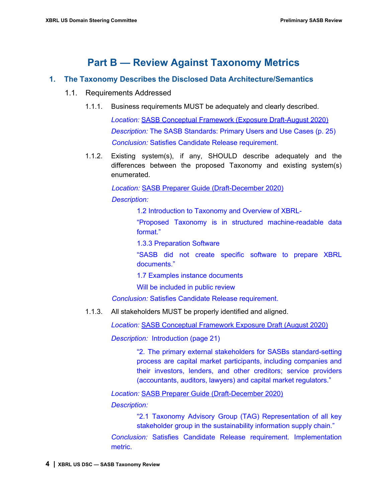## **Part B — Review Against Taxonomy Metrics**

#### **1. The Taxonomy Describes the Disclosed Data Architecture/Semantics**

- 1.1. Requirements Addressed
	- 1.1.1. Business requirements MUST be adequately and clearly described.

*Location:* SASB Conceptual Framework (Exposure Draft-August 2020) *Description:* The SASB Standards: Primary Users and Use Cases (p. 25) *Conclusion:* Satisfies Candidate Release requirement.

1.1.2. Existing system(s), if any, SHOULD describe adequately and the differences between the proposed Taxonomy and existing system(s) enumerated.

> *Location:* SASB Preparer Guide (Draft-December 2020) *Description:*

> > 1.2 Introduction to Taxonomy and Overview of XBRL-

"Proposed Taxonomy is in structured machine-readable data format."

1.3.3 Preparation Software

"SASB did not create specific software to prepare XBRL documents."

1.7 Examples instance documents

Will be included in public review

*Conclusion:* Satisfies Candidate Release requirement.

1.1.3. All stakeholders MUST be properly identified and aligned.

*Location:* SASB Conceptual Framework Exposure Draft (August 2020)

*Description:* Introduction (page 21)

"2. The primary external stakeholders for SASBs standard-setting process are capital market participants, including companies and their investors, lenders, and other creditors; service providers (accountants, auditors, lawyers) and capital market regulators."

*Location:* SASB Preparer Guide (Draft-December 2020) *Description:*

> "2.1 Taxonomy Advisory Group (TAG) Representation of all key stakeholder group in the sustainability information supply chain."

*Conclusion:* Satisfies Candidate Release requirement. Implementation metric.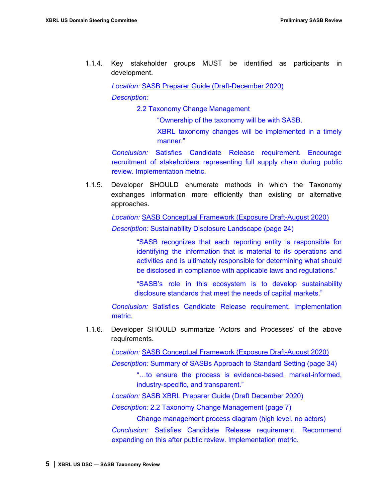1.1.4. Key stakeholder groups MUST be identified as participants in development.

> *Location:* SASB Preparer Guide (Draft-December 2020) *Description:*

> > 2.2 Taxonomy Change Management

"Ownership of the taxonomy will be with SASB.

XBRL taxonomy changes will be implemented in a timely manner."

*Conclusion:* Satisfies Candidate Release requirement. Encourage recruitment of stakeholders representing full supply chain during public review. Implementation metric.

1.1.5. Developer SHOULD enumerate methods in which the Taxonomy exchanges information more efficiently than existing or alternative approaches.

> *Location:* SASB Conceptual Framework (Exposure Draft-August 2020) *Description:* Sustainability Disclosure Landscape (page 24)

> > "SASB recognizes that each reporting entity is responsible for identifying the information that is material to its operations and activities and is ultimately responsible for determining what should be disclosed in compliance with applicable laws and regulations."

> > "SASB's role in this ecosystem is to develop sustainability disclosure standards that meet the needs of capital markets."

*Conclusion:* Satisfies Candidate Release requirement. Implementation metric.

1.1.6. Developer SHOULD summarize 'Actors and Processes' of the above requirements.

*Location:* SASB Conceptual Framework (Exposure Draft-August 2020)

*Description:* Summary of SASBs Approach to Standard Setting (page 34)

"…to ensure the process is evidence-based, market-informed, industry-specific, and transparent."

*Location:* SASB XBRL Preparer Guide (Draft December 2020)

*Description:* 2.2 Taxonomy Change Management (page 7)

Change management process diagram (high level, no actors)

*Conclusion:* Satisfies Candidate Release requirement. Recommend expanding on this after public review. Implementation metric.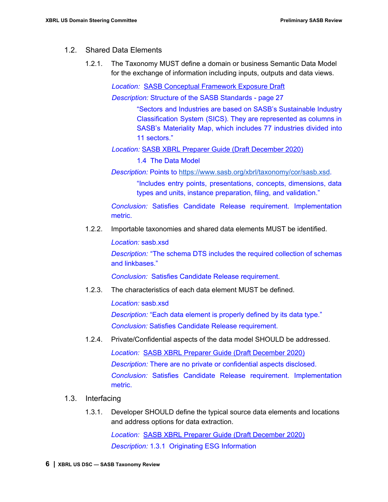#### 1.2. Shared Data Elements

1.2.1. The Taxonomy MUST define a domain or business Semantic Data Model for the exchange of information including inputs, outputs and data views.

*Location:* SASB Conceptual Framework Exposure Draft

*Description:* Structure of the SASB Standards - page 27

"Sectors and Industries are based on SASB's Sustainable Industry Classification System (SICS). They are represented as columns in SASB's Materiality Map, which includes 77 industries divided into 11 sectors."

*Location:* SASB XBRL Preparer Guide (Draft December 2020)

1.4 The Data Model

*Description:* Points to <https://www.sasb.org/xbrl/taxonomy/cor/sasb.xsd>.

"Includes entry points, presentations, concepts, dimensions, data types and units, instance preparation, filing, and validation."

*Conclusion:* Satisfies Candidate Release requirement. Implementation metric.

1.2.2. Importable taxonomies and shared data elements MUST be identified.

*Location:* sasb.xsd

*Description:* "The schema DTS includes the required collection of schemas and linkbases."

*Conclusion:* Satisfies Candidate Release requirement.

1.2.3. The characteristics of each data element MUST be defined.

*Location:* sasb.xsd *Description:* "Each data element is properly defined by its data type." *Conclusion:* Satisfies Candidate Release requirement.

1.2.4. Private/Confidential aspects of the data model SHOULD be addressed.

*Location:* SASB XBRL Preparer Guide (Draft December 2020) *Description:* There are no private or confidential aspects disclosed. *Conclusion:* Satisfies Candidate Release requirement. Implementation metric.

- 1.3. Interfacing
	- 1.3.1. Developer SHOULD define the typical source data elements and locations and address options for data extraction.

*Location:* SASB XBRL Preparer Guide (Draft December 2020) *Description:* 1.3.1 Originating ESG Information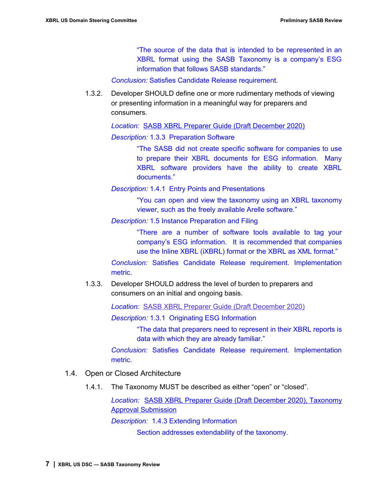"The source of the data that is intended to be represented in an XBRL format using the SASB Taxonomy is a company's ESG information that follows SASB standards."

*Conclusion:* Satisfies Candidate Release requirement.

1.3.2. Developer SHOULD define one or more rudimentary methods of viewing or presenting information in a meaningful way for preparers and consumers.

*Location:* SASB XBRL Preparer Guide (Draft December 2020)

*Description:* 1.3.3 Preparation Software

"The SASB did not create specific software for companies to use to prepare their XBRL documents for ESG information. Many XBRL software providers have the ability to create XBRL documents."

*Description:* 1.4.1 Entry Points and Presentations

"You can open and view the taxonomy using an XBRL taxonomy viewer, such as the freely available Arelle software."

*Description:* 1.5 Instance Preparation and Filing

"There are a number of software tools available to tag your company's ESG information. It is recommended that companies use the Inline XBRL (iXBRL) format or the XBRL as XML format."

*Conclusion:* Satisfies Candidate Release requirement. Implementation metric.

1.3.3. Developer SHOULD address the level of burden to preparers and consumers on an initial and ongoing basis.

*Location:* SASB XBRL Preparer Guide (Draft December 2020)

*Description:* 1.3.1 Originating ESG Information

"The data that preparers need to represent in their XBRL reports is data with which they are already familiar."

*Conclusion:* Satisfies Candidate Release requirement. Implementation metric.

- 1.4. Open or Closed Architecture
	- 1.4.1. The Taxonomy MUST be described as either "open" or "closed".

*Location:* SASB XBRL Preparer Guide (Draft December 2020), Taxonomy Approval Submission

*Description:* 1.4.3 Extending Information

Section addresses extendability of the taxonomy.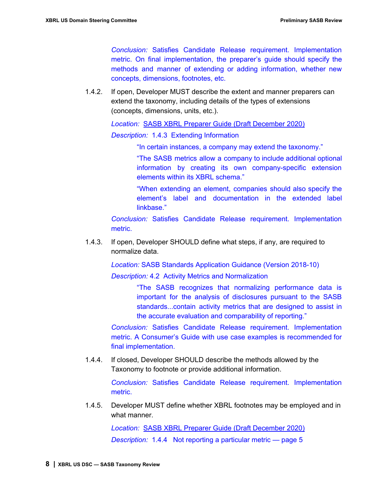*Conclusion:* Satisfies Candidate Release requirement. Implementation metric. On final implementation, the preparer's guide should specify the methods and manner of extending or adding information, whether new concepts, dimensions, footnotes, etc.

1.4.2. If open, Developer MUST describe the extent and manner preparers can extend the taxonomy, including details of the types of extensions (concepts, dimensions, units, etc.).

*Location:* SASB XBRL Preparer Guide (Draft December 2020)

*Description:* 1.4.3 Extending Information

"In certain instances, a company may extend the taxonomy."

"The SASB metrics allow a company to include additional optional information by creating its own company-specific extension elements within its XBRL schema."

"When extending an element, companies should also specify the element's label and documentation in the extended label linkbase."

*Conclusion:* Satisfies Candidate Release requirement. Implementation metric.

1.4.3. If open, Developer SHOULD define what steps, if any, are required to normalize data.

*Location:* SASB Standards Application Guidance (Version 2018-10)

*Description:* 4.2 Activity Metrics and Normalization

"The SASB recognizes that normalizing performance data is important for the analysis of disclosures pursuant to the SASB standards...contain activity metrics that are designed to assist in the accurate evaluation and comparability of reporting."

*Conclusion:* Satisfies Candidate Release requirement. Implementation metric. A Consumer's Guide with use case examples is recommended for final implementation.

1.4.4. If closed, Developer SHOULD describe the methods allowed by the Taxonomy to footnote or provide additional information.

> *Conclusion:* Satisfies Candidate Release requirement. Implementation metric.

1.4.5. Developer MUST define whether XBRL footnotes may be employed and in what manner.

> *Location:* SASB XBRL Preparer Guide (Draft December 2020) *Description:* 1.4.4 Not reporting a particular metric — page 5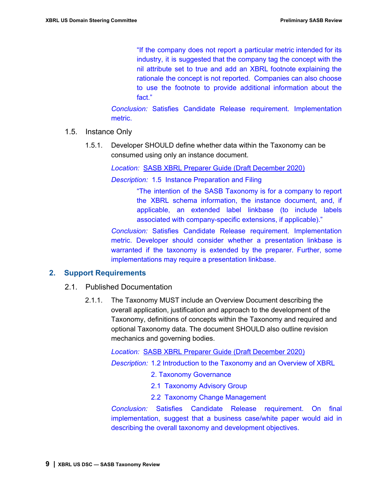"If the company does not report a particular metric intended for its industry, it is suggested that the company tag the concept with the nil attribute set to true and add an XBRL footnote explaining the rationale the concept is not reported. Companies can also choose to use the footnote to provide additional information about the fact."

*Conclusion:* Satisfies Candidate Release requirement. Implementation metric.

- 1.5. Instance Only
	- 1.5.1. Developer SHOULD define whether data within the Taxonomy can be consumed using only an instance document.

*Location:* SASB XBRL Preparer Guide (Draft December 2020)

*Description:* 1.5 Instance Preparation and Filing

"The intention of the SASB Taxonomy is for a company to report the XBRL schema information, the instance document, and, if applicable, an extended label linkbase (to include labels associated with company-specific extensions, if applicable)."

*Conclusion:* Satisfies Candidate Release requirement. Implementation metric. Developer should consider whether a presentation linkbase is warranted if the taxonomy is extended by the preparer. Further, some implementations may require a presentation linkbase.

#### **2. Support Requirements**

- 2.1. Published Documentation
	- 2.1.1. The Taxonomy MUST include an Overview Document describing the overall application, justification and approach to the development of the Taxonomy, definitions of concepts within the Taxonomy and required and optional Taxonomy data. The document SHOULD also outline revision mechanics and governing bodies.

*Location:* SASB XBRL Preparer Guide (Draft December 2020)

*Description:* 1.2 Introduction to the Taxonomy and an Overview of XBRL

- 2. Taxonomy Governance
- 2.1 Taxonomy Advisory Group
- 2.2 Taxonomy Change Management

*Conclusion:* Satisfies Candidate Release requirement. On final implementation, suggest that a business case/white paper would aid in describing the overall taxonomy and development objectives.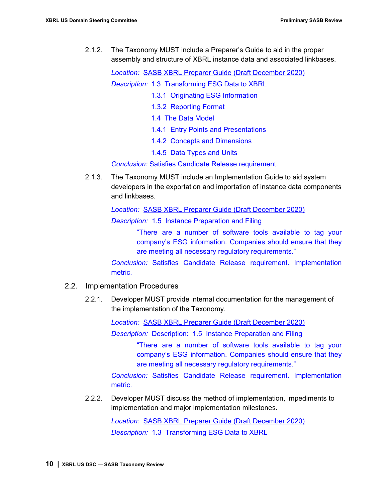2.1.2. The Taxonomy MUST include a Preparer's Guide to aid in the proper assembly and structure of XBRL instance data and associated linkbases.

*Location:* SASB XBRL Preparer Guide (Draft December 2020)

*Description:* 1.3 Transforming ESG Data to XBRL

- 1.3.1 Originating ESG Information
- 1.3.2 Reporting Format
- 1.4 The Data Model
- 1.4.1 Entry Points and Presentations
- 1.4.2 Concepts and Dimensions
- 1.4.5 Data Types and Units

*Conclusion:* Satisfies Candidate Release requirement.

2.1.3. The Taxonomy MUST include an Implementation Guide to aid system developers in the exportation and importation of instance data components and linkbases.

*Location:* SASB XBRL Preparer Guide (Draft December 2020)

*Description:* 1.5 Instance Preparation and Filing

"There are a number of software tools available to tag your company's ESG information. Companies should ensure that they are meeting all necessary regulatory requirements."

*Conclusion:* Satisfies Candidate Release requirement. Implementation metric.

#### 2.2. Implementation Procedures

2.2.1. Developer MUST provide internal documentation for the management of the implementation of the Taxonomy.

*Location:* SASB XBRL Preparer Guide (Draft December 2020)

*Description:* Description: 1.5 Instance Preparation and Filing

"There are a number of software tools available to tag your company's ESG information. Companies should ensure that they are meeting all necessary regulatory requirements."

*Conclusion:* Satisfies Candidate Release requirement. Implementation metric.

2.2.2. Developer MUST discuss the method of implementation, impediments to implementation and major implementation milestones.

> *Location:* SASB XBRL Preparer Guide (Draft December 2020) *Description:* 1.3 Transforming ESG Data to XBRL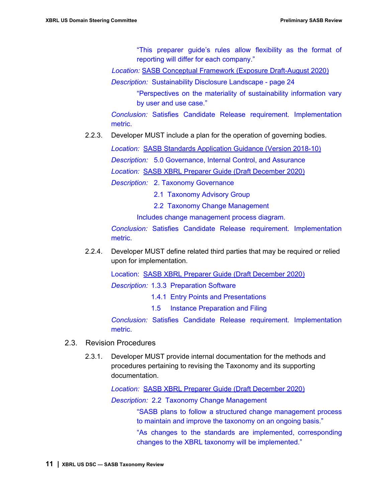"This preparer guide's rules allow flexibility as the format of reporting will differ for each company."

*Location:* SASB Conceptual Framework (Exposure Draft-August 2020)

*Description:* Sustainability Disclosure Landscape - page 24

"Perspectives on the materiality of sustainability information vary by user and use case."

*Conclusion:* Satisfies Candidate Release requirement. Implementation metric.

2.2.3. Developer MUST include a plan for the operation of governing bodies.

*Location:* SASB Standards Application Guidance (Version 2018-10)

*Description:* 5.0 Governance, Internal Control, and Assurance

*Location:* SASB XBRL Preparer Guide (Draft December 2020)

*Description:* 2. Taxonomy Governance

2.1 Taxonomy Advisory Group

2.2 Taxonomy Change Management

Includes change management process diagram.

*Conclusion:* Satisfies Candidate Release requirement. Implementation metric.

2.2.4. Developer MUST define related third parties that may be required or relied upon for implementation.

Location: SASB XBRL Preparer Guide (Draft December 2020)

*Description:* 1.3.3 Preparation Software

- 1.4.1 Entry Points and Presentations
- 1.5 Instance Preparation and Filing

*Conclusion:* Satisfies Candidate Release requirement. Implementation metric.

- 2.3. Revision Procedures
	- 2.3.1. Developer MUST provide internal documentation for the methods and procedures pertaining to revising the Taxonomy and its supporting documentation.

*Location:* SASB XBRL Preparer Guide (Draft December 2020)

*Description:* 2.2 Taxonomy Change Management

"SASB plans to follow a structured change management process to maintain and improve the taxonomy on an ongoing basis."

"As changes to the standards are implemented, corresponding changes to the XBRL taxonomy will be implemented."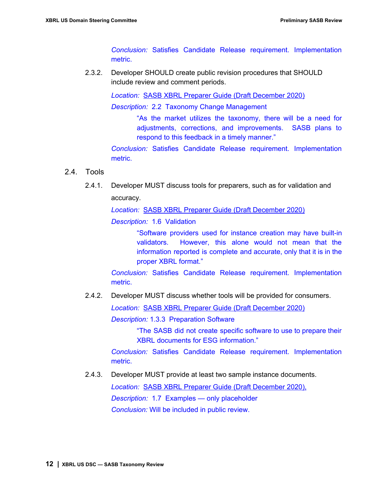*Conclusion:* Satisfies Candidate Release requirement. Implementation metric.

2.3.2. Developer SHOULD create public revision procedures that SHOULD include review and comment periods.

> *Location:* SASB XBRL Preparer Guide (Draft December 2020) *Description:* 2.2 Taxonomy Change Management

"As the market utilizes the taxonomy, there will be a need for adjustments, corrections, and improvements. SASB plans to respond to this feedback in a timely manner."

*Conclusion:* Satisfies Candidate Release requirement. Implementation metric.

#### 2.4. Tools

2.4.1. Developer MUST discuss tools for preparers, such as for validation and accuracy.

*Location:* SASB XBRL Preparer Guide (Draft December 2020)

*Description:* 1.6 Validation

"Software providers used for instance creation may have built-in validators. However, this alone would not mean that the information reported is complete and accurate, only that it is in the proper XBRL format."

*Conclusion:* Satisfies Candidate Release requirement. Implementation metric.

2.4.2. Developer MUST discuss whether tools will be provided for consumers.

*Location:* SASB XBRL Preparer Guide (Draft December 2020)

*Description:* 1.3.3 Preparation Software

"The SASB did not create specific software to use to prepare their XBRL documents for ESG information."

*Conclusion:* Satisfies Candidate Release requirement. Implementation metric.

2.4.3. Developer MUST provide at least two sample instance documents.

*Location:* SASB XBRL Preparer Guide (Draft December 2020), *Description:* 1.7 Examples — only placeholder *Conclusion:* Will be included in public review.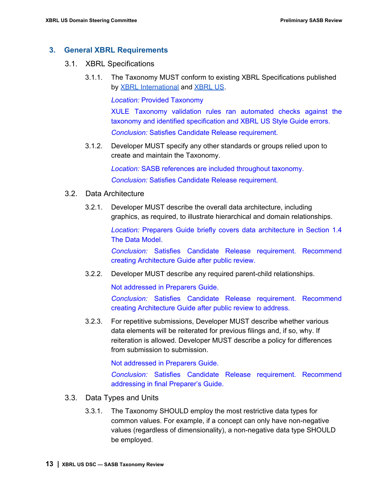#### **3. General XBRL Requirements**

- 3.1. XBRL Specifications
	- 3.1.1. The Taxonomy MUST conform to existing XBRL Specifications published by **[XBRL](https://xbrl.us/reference-guide)** [International](https://specifications.xbrl.org/specifications.html) and **XBRL US.**

*Location:* Provided Taxonomy

XULE Taxonomy validation rules ran automated checks against the taxonomy and identified specification and XBRL US Style Guide errors. *Conclusion:* Satisfies Candidate Release requirement.

3.1.2. Developer MUST specify any other standards or groups relied upon to create and maintain the Taxonomy.

> *Location:* SASB references are included throughout taxonomy. *Conclusion:* Satisfies Candidate Release requirement.

- 3.2. Data Architecture
	- 3.2.1. Developer MUST describe the overall data architecture, including graphics, as required, to illustrate hierarchical and domain relationships.

*Location:* Preparers Guide briefly covers data architecture in Section 1.4 The Data Model.

*Conclusion:* Satisfies Candidate Release requirement. Recommend creating Architecture Guide after public review.

3.2.2. Developer MUST describe any required parent-child relationships.

Not addressed in Preparers Guide.

*Conclusion:* Satisfies Candidate Release requirement. Recommend creating Architecture Guide after public review to address.

3.2.3. For repetitive submissions, Developer MUST describe whether various data elements will be reiterated for previous filings and, if so, why. If reiteration is allowed. Developer MUST describe a policy for differences from submission to submission.

Not addressed in Preparers Guide.

*Conclusion:* Satisfies Candidate Release requirement. Recommend addressing in final Preparer's Guide.

- 3.3. Data Types and Units
	- 3.3.1. The Taxonomy SHOULD employ the most restrictive data types for common values. For example, if a concept can only have non-negative values (regardless of dimensionality), a non-negative data type SHOULD be employed.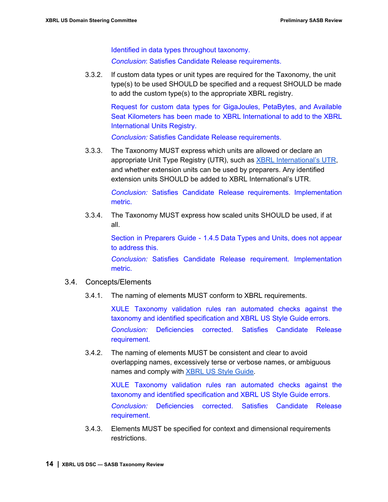Identified in data types throughout taxonomy. *Conclusion*: Satisfies Candidate Release requirements.

3.3.2. If custom data types or unit types are required for the Taxonomy, the unit type(s) to be used SHOULD be specified and a request SHOULD be made to add the custom type(s) to the appropriate XBRL registry.

> Request for custom data types for GigaJoules, PetaBytes, and Available Seat Kilometers has been made to XBRL International to add to the XBRL International Units Registry.

*Conclusion:* Satisfies Candidate Release requirements.

3.3.3. The Taxonomy MUST express which units are allowed or declare an appropriate Unit Type Registry (UTR), such as **XBRL [International's](https://specifications.xbrl.org/work-product-index-registries-units-registry-1.0.html) UTR**, and whether extension units can be used by preparers. Any identified extension units SHOULD be added to XBRL International's UTR.

> *Conclusion:* Satisfies Candidate Release requirements. Implementation metric.

3.3.4. The Taxonomy MUST express how scaled units SHOULD be used, if at all.

> Section in Preparers Guide - 1.4.5 Data Types and Units, does not appear to address this.

> *Conclusion:* Satisfies Candidate Release requirement. Implementation metric.

#### 3.4. Concepts/Elements

3.4.1. The naming of elements MUST conform to XBRL requirements.

XULE Taxonomy validation rules ran automated checks against the taxonomy and identified specification and XBRL US Style Guide errors. *Conclusion:* Deficiencies corrected. Satisfies Candidate Release requirement.

3.4.2. The naming of elements MUST be consistent and clear to avoid overlapping names, excessively terse or verbose names, or ambiguous names and comply with **XBRL US Style [Guide](https://xbrl.us/style-guide)**.

> XULE Taxonomy validation rules ran automated checks against the taxonomy and identified specification and XBRL US Style Guide errors. *Conclusion:* Deficiencies corrected. Satisfies Candidate Release requirement.

3.4.3. Elements MUST be specified for context and dimensional requirements restrictions.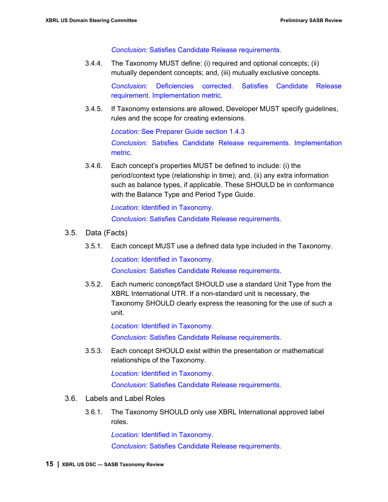*Conclusion:* Satisfies Candidate Release requirements.

3.4.4. The Taxonomy MUST define: (i) required and optional concepts; (ii) mutually dependent concepts; and, (iii) mutually exclusive concepts.

> *Conclusion:* Deficiencies corrected. Satisfies Candidate Release requirement. Implementation metric.

3.4.5. If Taxonomy extensions are allowed, Developer MUST specify guidelines, rules and the scope for creating extensions.

*Location:* See Preparer Guide section 1.4.3

*Conclusion:* Satisfies Candidate Release requirements. Implementation metric.

3.4.6. Each concept's properties MUST be defined to include: (i) the period/context type (relationship in time); and, (ii) any extra information such as balance types, if applicable. These SHOULD be in conformance with the Balance Type and Period Type Guide.

> *Location:* Identified in Taxonomy. *Conclusion:* Satisfies Candidate Release requirements.

- 3.5. Data (Facts)
	- 3.5.1. Each concept MUST use a defined data type included in the Taxonomy.

*Location:* Identified in Taxonomy.

*Conclusion:* Satisfies Candidate Release requirements.

3.5.2. Each numeric concept/fact SHOULD use a standard Unit Type from the XBRL International UTR. If a non-standard unit is necessary, the Taxonomy SHOULD clearly express the reasoning for the use of such a unit.

> *Location:* Identified in Taxonomy. *Conclusion:* Satisfies Candidate Release requirements.

3.5.3. Each concept SHOULD exist within the presentation or mathematical relationships of the Taxonomy.

*Location:* Identified in Taxonomy.

*Conclusion:* Satisfies Candidate Release requirements.

- 3.6. Labels and Label Roles
	- 3.6.1. The Taxonomy SHOULD only use XBRL International approved label roles.

*Location:* Identified in Taxonomy.

*Conclusion:* Satisfies Candidate Release requirements.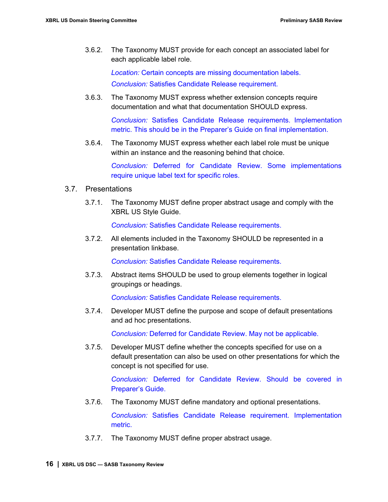3.6.2. The Taxonomy MUST provide for each concept an associated label for each applicable label role.

> *Location:* Certain concepts are missing documentation labels. *Conclusion:* Satisfies Candidate Release requirement.

3.6.3. The Taxonomy MUST express whether extension concepts require documentation and what that documentation SHOULD express.

> *Conclusion:* Satisfies Candidate Release requirements. Implementation metric. This should be in the Preparer's Guide on final implementation.

3.6.4. The Taxonomy MUST express whether each label role must be unique within an instance and the reasoning behind that choice.

> *Conclusion:* Deferred for Candidate Review. Some implementations require unique label text for specific roles.

#### 3.7. Presentations

3.7.1. The Taxonomy MUST define proper abstract usage and comply with the XBRL US Style Guide.

*Conclusion:* Satisfies Candidate Release requirements.

3.7.2. All elements included in the Taxonomy SHOULD be represented in a presentation linkbase.

*Conclusion:* Satisfies Candidate Release requirements.

3.7.3. Abstract items SHOULD be used to group elements together in logical groupings or headings.

*Conclusion:* Satisfies Candidate Release requirements.

3.7.4. Developer MUST define the purpose and scope of default presentations and ad hoc presentations.

*Conclusion:* Deferred for Candidate Review. May not be applicable.

3.7.5. Developer MUST define whether the concepts specified for use on a default presentation can also be used on other presentations for which the concept is not specified for use.

> *Conclusion:* Deferred for Candidate Review. Should be covered in Preparer's Guide.

3.7.6. The Taxonomy MUST define mandatory and optional presentations.

*Conclusion:* Satisfies Candidate Release requirement. Implementation metric.

3.7.7. The Taxonomy MUST define proper abstract usage.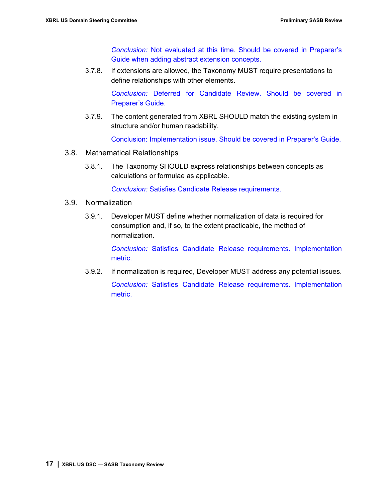*Conclusion:* Not evaluated at this time. Should be covered in Preparer's Guide when adding abstract extension concepts.

3.7.8. If extensions are allowed, the Taxonomy MUST require presentations to define relationships with other elements.

> *Conclusion:* Deferred for Candidate Review. Should be covered in Preparer's Guide.

3.7.9. The content generated from XBRL SHOULD match the existing system in structure and/or human readability.

Conclusion: Implementation issue. Should be covered in Preparer's Guide.

- 3.8. Mathematical Relationships
	- 3.8.1. The Taxonomy SHOULD express relationships between concepts as calculations or formulae as applicable.

*Conclusion:* Satisfies Candidate Release requirements.

#### 3.9. Normalization

3.9.1. Developer MUST define whether normalization of data is required for consumption and, if so, to the extent practicable, the method of normalization.

> *Conclusion:* Satisfies Candidate Release requirements. Implementation metric.

3.9.2. If normalization is required, Developer MUST address any potential issues. *Conclusion:* Satisfies Candidate Release requirements. Implementation metric.